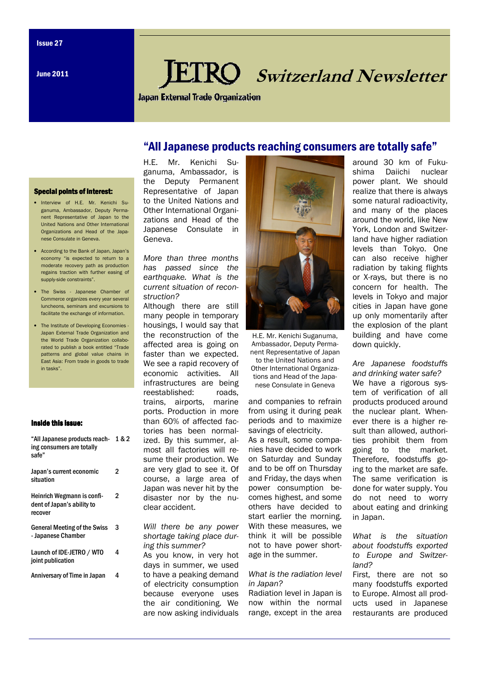June 2011

# Switzerland Newsletter

Japan External Trade Organization

## "All Japanese products reaching consumers are totally safe"

H.E. Mr. Kenichi Suganuma, Ambassador, is the Deputy Permanent Representative of Japan to the United Nations and Other International Organizations and Head of the Japanese Consulate in Geneva.

More than three months has passed since the earthquake. What is the current situation of reconstruction?

Although there are still many people in temporary housings, I would say that the reconstruction of the affected area is going on faster than we expected. We see a rapid recovery of economic activities. All infrastructures are being reestablished: roads, trains, airports, marine ports. Production in more than 60% of affected factories has been normalized. By this summer, almost all factories will resume their production. We are very glad to see it. Of course, a large area of Japan was never hit by the disaster nor by the nuclear accident.

Will there be any power shortage taking place during this summer?

As you know, in very hot days in summer, we used to have a peaking demand of electricity consumption because everyone uses the air conditioning. We are now asking individuals



Ambassador, Deputy Permanent Representative of Japan to the United Nations and Other International Organizations and Head of the Japanese Consulate in Geneva

and companies to refrain from using it during peak periods and to maximize savings of electricity.

As a result, some companies have decided to work on Saturday and Sunday and to be off on Thursday and Friday, the days when power consumption becomes highest, and some others have decided to start earlier the morning. With these measures, we think it will be possible not to have power shortage in the summer.

#### What is the radiation level in Japan?

Radiation level in Japan is now within the normal range, except in the area

around 30 km of Fukushima Daiichi nuclear power plant. We should realize that there is always some natural radioactivity, and many of the places around the world, like New York, London and Switzerland have higher radiation levels than Tokyo. One can also receive higher radiation by taking flights or X-rays, but there is no concern for health. The levels in Tokyo and major cities in Japan have gone up only momentarily after the explosion of the plant building and have come down quickly.

#### Are Japanese foodstuffs and drinking water safe?

We have a rigorous system of verification of all products produced around the nuclear plant. Whenever there is a higher result than allowed, authorities prohibit them from going to the market. Therefore, foodstuffs going to the market are safe. The same verification is done for water supply. You do not need to worry about eating and drinking in Japan.

What is the situation about foodstuffs exported to Europe and Switzerland?

First, there are not so many foodstuffs exported to Europe. Almost all products used in Japanese restaurants are produced

#### **Special points of interest:**

- Interview of H.E. Mr. Kenichi Suganuma, Ambassador, Deputy Permanent Representative of Japan to the United Nations and Other International Organizations and Head of the Japanese Consulate in Geneva.
- According to the Bank of Japan, Japan's economy "is expected to return to a moderate recovery path as production regains traction with further easing of supply-side constraints".
- The Swiss Japanese Chamber of Commerce organizes every year several luncheons, seminars and excursions to facilitate the exchange of information.
- The Institute of Developing Economies Japan External Trade Organization and the World Trade Organization collaborated to publish a book entitled "Trade patterns and global value chains in East Asia: From trade in goods to trade in tasks".

#### Inside this issue:

| "All Japanese products reach-<br>ing consumers are totally<br>safe" | 1&2 |
|---------------------------------------------------------------------|-----|
| Japan's current economic<br>situation                               | 2   |
| Heinrich Wegmann is confi-<br>dent of Japan's ability to<br>recover | 2   |
| <b>General Meeting of the Swiss</b><br>- Japanese Chamber           | 3   |
| Launch of IDE-JETRO / WTO<br>joint publication                      | 4   |
| Anniversary of Time in Japan                                        | 4   |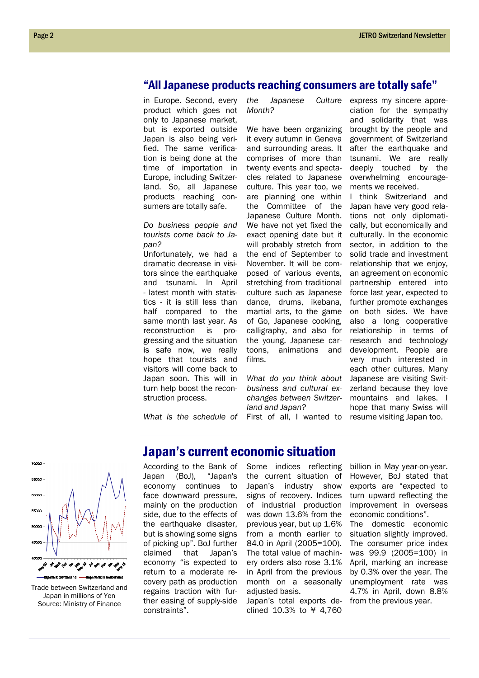### "All Japanese products reaching consumers are totally safe"

in Europe. Second, every product which goes not only to Japanese market, but is exported outside Japan is also being verified. The same verification is being done at the time of importation in Europe, including Switzerland. So, all Japanese products reaching consumers are totally safe.

Do business people and tourists come back to Japan?

Unfortunately, we had a dramatic decrease in visitors since the earthquake and tsunami. In April - latest month with statistics - it is still less than half compared to the same month last year. As reconstruction is progressing and the situation is safe now, we really hope that tourists and visitors will come back to Japan soon. This will in turn help boost the reconstruction process.

What is the schedule of

the Japanese Culture Month?

We have been organizing it every autumn in Geneva and surrounding areas. It comprises of more than twenty events and spectacles related to Japanese culture. This year too, we are planning one within the Committee of the Japanese Culture Month. We have not yet fixed the exact opening date but it will probably stretch from the end of September to November. It will be composed of various events, stretching from traditional culture such as Japanese dance, drums, ikebana, martial arts, to the game of Go, Japanese cooking, calligraphy, and also for the young, Japanese cartoons, animations and films.

What do you think about business and cultural exchanges between Switzerland and Japan? First of all, I wanted to express my sincere appreciation for the sympathy and solidarity that was brought by the people and government of Switzerland after the earthquake and tsunami. We are really deeply touched by the overwhelming encouragements we received.

I think Switzerland and Japan have very good relations not only diplomatically, but economically and culturally. In the economic sector, in addition to the solid trade and investment relationship that we enjoy, an agreement on economic partnership entered into force last year, expected to further promote exchanges on both sides. We have also a long cooperative relationship in terms of research and technology development. People are very much interested in each other cultures. Many Japanese are visiting Switzerland because they love mountains and lakes. I hope that many Swiss will resume visiting Japan too.



Trade between Switzerland and Japan in millions of Yen Source: Ministry of Finance

# Japan's current economic situation

According to the Bank of Japan (BoJ), "Japan's economy continues to face downward pressure, mainly on the production side, due to the effects of the earthquake disaster, but is showing some signs of picking up". BoJ further claimed that Japan's economy "is expected to return to a moderate recovery path as production regains traction with further easing of supply-side constraints".

Some indices reflecting the current situation of Japan's industry show signs of recovery. Indices of industrial production was down 13.6% from the previous year, but up 1.6% from a month earlier to 84.0 in April (2005=100). The total value of machinery orders also rose 3.1% in April from the previous month on a seasonally adjusted basis.

Japan's total exports declined 10.3% to ¥ 4,760

billion in May year-on-year. However, BoJ stated that exports are "expected to turn upward reflecting the improvement in overseas economic conditions". The domestic economic

situation slightly improved. The consumer price index was 99.9 (2005=100) in April, marking an increase by 0.3% over the year. The unemployment rate was 4.7% in April, down 8.8% from the previous year.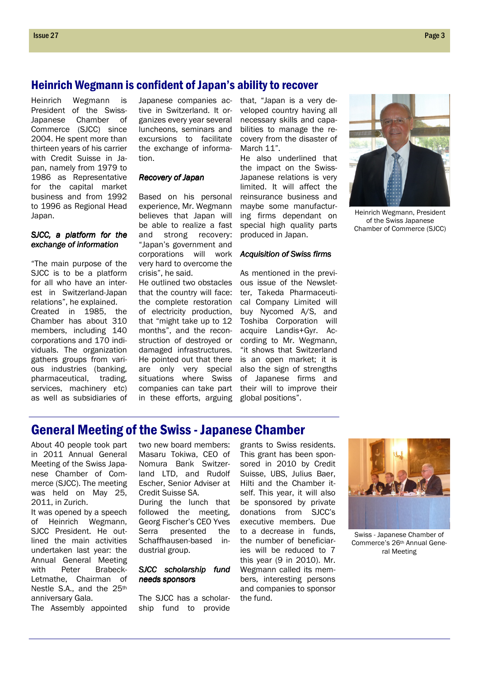## Heinrich Wegmann is confident of Japan's ability to recover

Heinrich Wegmann is President of the Swiss-Japanese Chamber of Commerce (SJCC) since 2004. He spent more than thirteen years of his carrier with Credit Suisse in Japan, namely from 1979 to 1986 as Representative for the capital market business and from 1992 to 1996 as Regional Head Japan.

#### SJCC, a platform for the exchange of information

"The main purpose of the SJCC is to be a platform for all who have an interest in Switzerland-Japan relations", he explained. Created in 1985, the Chamber has about 310 members, including 140 corporations and 170 individuals. The organization gathers groups from various industries (banking, pharmaceutical, trading, services, machinery etc) as well as subsidiaries of

Japanese companies active in Switzerland. It organizes every year several luncheons, seminars and excursions to facilitate the exchange of information.

#### Recovery of Japan

Based on his personal experience, Mr. Wegmann believes that Japan will be able to realize a fast and strong recovery: "Japan's government and corporations will work very hard to overcome the crisis", he said.

He outlined two obstacles that the country will face: the complete restoration of electricity production, that "might take up to 12 months", and the reconstruction of destroyed or damaged infrastructures. He pointed out that there are only very special situations where Swiss companies can take part in these efforts, arguing

that, "Japan is a very developed country having all necessary skills and capabilities to manage the recovery from the disaster of March 11".

He also underlined that the impact on the Swiss-Japanese relations is very limited. It will affect the reinsurance business and maybe some manufacturing firms dependant on special high quality parts produced in Japan.

#### **Acquisition of Swiss firms**

As mentioned in the previous issue of the Newsletter, Takeda Pharmaceutical Company Limited will buy Nycomed A/S, and Toshiba Corporation will acquire Landis+Gyr. According to Mr. Wegmann, "it shows that Switzerland is an open market; it is also the sign of strengths of Japanese firms and their will to improve their global positions".



Heinrich Wegmann, President of the Swiss Japanese Chamber of Commerce (SJCC)

# General Meeting of the Swiss - Japanese Chamber

About 40 people took part in 2011 Annual General Meeting of the Swiss Japanese Chamber of Commerce (SJCC). The meeting was held on May 25, 2011, in Zurich.

It was opened by a speech of Heinrich Wegmann, SJCC President. He outlined the main activities undertaken last year: the Annual General Meeting with Peter Brabeck-Letmathe, Chairman of Nestle S.A., and the 25<sup>th</sup> anniversary Gala.

The Assembly appointed

two new board members: Masaru Tokiwa, CEO of Nomura Bank Switzerland LTD, and Rudolf Escher, Senior Adviser at Credit Suisse SA.

During the lunch that followed the meeting, Georg Fischer's CEO Yves Serra presented the Schaffhausen-based industrial group.

#### SJCC scholarship fund needs sponsors

The SJCC has a scholarship fund to provide

grants to Swiss residents. This grant has been sponsored in 2010 by Credit Suisse, UBS, Julius Baer, Hilti and the Chamber itself. This year, it will also be sponsored by private donations from SJCC's executive members. Due to a decrease in funds, the number of beneficiaries will be reduced to 7 this year (9 in 2010). Mr. Wegmann called its members, interesting persons and companies to sponsor the fund.



Swiss - Japanese Chamber of Commerce's 26th Annual General Meeting